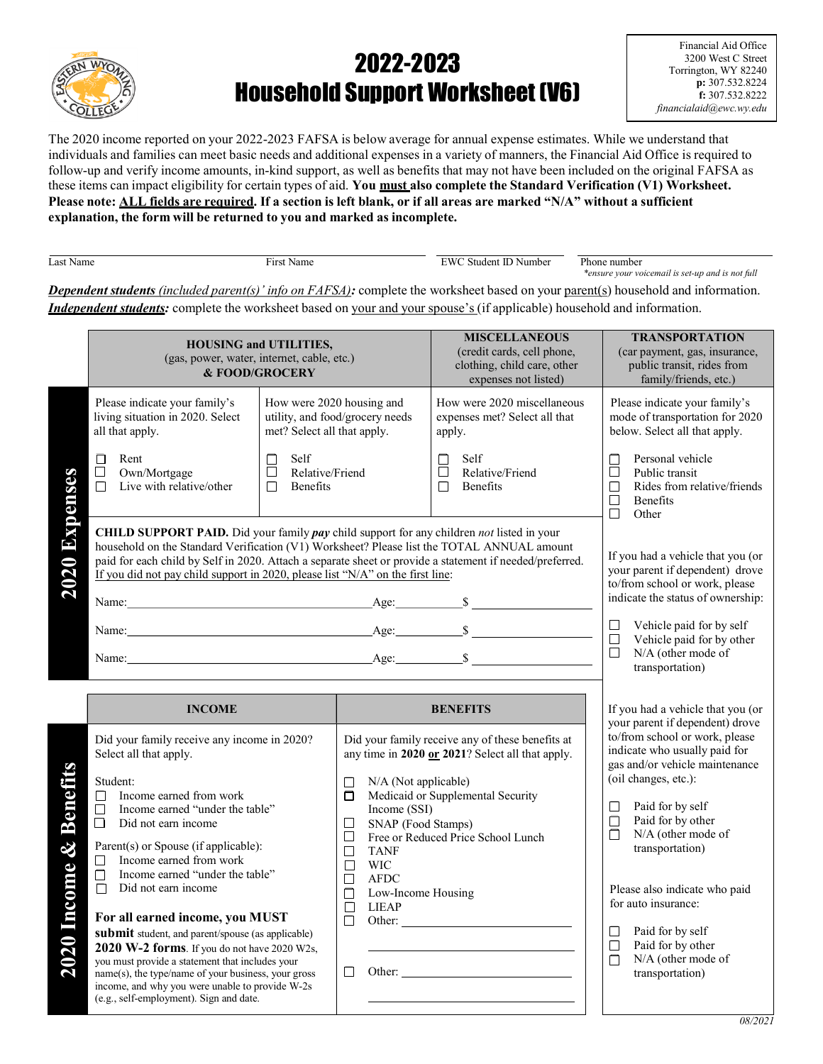

## 2022-2023 Household Support Worksheet (V6)

Financial Aid Office 3200 West C Street Torrington, WY 82240 p: 307.532.8224 f: 307.532.8222 financialaid@ewc.wy.edu

The 2020 income reported on your 2022-2023 FAFSA is below average for annual expense estimates. While we understand that individuals and families can meet basic needs and additional expenses in a variety of manners, the Financial Aid Office is required to follow-up and verify income amounts, in-kind support, as well as benefits that may not have been included on the original FAFSA as these items can impact eligibility for certain types of aid. You must also complete the Standard Verification (V1) Worksheet. Please note: ALL fields are required. If a section is left blank, or if all areas are marked "N/A" without a sufficient explanation, the form will be returned to you and marked as incomplete.

| Last Name | ---<br>чашс | W'<br>- 11 *<br>Number<br>studen. | $D$ <sub>hon</sub><br>e number                                       |
|-----------|-------------|-----------------------------------|----------------------------------------------------------------------|
|           |             |                                   | <i>rensure your voicemail is set-up and is .</i><br>is not tull<br>. |

**Dependent students** (included parent(s)' info on  $FAFSA$ ): complete the worksheet based on your parent(s) household and information. **Independent students:** complete the worksheet based on your and your spouse's (if applicable) household and information.

|                                                       | <b>HOUSING and UTILITIES,</b><br>(gas, power, water, internet, cable, etc.)<br>& FOOD/GROCERY                                                                                                                                                                                                                                                                                                                                                                                                                                                                                                                                                                                                                      |  |                                                                                                                                                                                                                                             | <b>MISCELLANEOUS</b><br>(credit cards, cell phone,<br>clothing, child care, other<br>expenses not listed)                                                                                                                                            |                                                                                                                                       | <b>TRANSPORTATION</b><br>(car payment, gas, insurance,<br>public transit, rides from<br>family/friends, etc.)                                                                                                                                                                                                                                                                            |  |
|-------------------------------------------------------|--------------------------------------------------------------------------------------------------------------------------------------------------------------------------------------------------------------------------------------------------------------------------------------------------------------------------------------------------------------------------------------------------------------------------------------------------------------------------------------------------------------------------------------------------------------------------------------------------------------------------------------------------------------------------------------------------------------------|--|---------------------------------------------------------------------------------------------------------------------------------------------------------------------------------------------------------------------------------------------|------------------------------------------------------------------------------------------------------------------------------------------------------------------------------------------------------------------------------------------------------|---------------------------------------------------------------------------------------------------------------------------------------|------------------------------------------------------------------------------------------------------------------------------------------------------------------------------------------------------------------------------------------------------------------------------------------------------------------------------------------------------------------------------------------|--|
|                                                       | How were 2020 housing and<br>Please indicate your family's<br>living situation in 2020. Select<br>utility, and food/grocery needs<br>met? Select all that apply.<br>all that apply.                                                                                                                                                                                                                                                                                                                                                                                                                                                                                                                                |  |                                                                                                                                                                                                                                             | How were 2020 miscellaneous<br>expenses met? Select all that<br>apply.                                                                                                                                                                               |                                                                                                                                       | Please indicate your family's<br>mode of transportation for 2020<br>below. Select all that apply.                                                                                                                                                                                                                                                                                        |  |
|                                                       | Self<br>Rent<br>$\Box$<br>$\Box$<br>Relative/Friend<br>Own/Mortgage<br>$\Box$<br>$\Box$<br>Live with relative/other<br>$\Box$<br>Benefits<br>$\Box$                                                                                                                                                                                                                                                                                                                                                                                                                                                                                                                                                                |  |                                                                                                                                                                                                                                             | Self<br>$\Box$<br>$\Box$<br>Relative/Friend<br>Benefits<br>$\Box$                                                                                                                                                                                    | Personal vehicle<br>П<br>Public transit<br>⊔<br>Rides from relative/friends<br>$\Box$<br>$\Box$<br><b>Benefits</b><br>$\Box$<br>Other |                                                                                                                                                                                                                                                                                                                                                                                          |  |
| 2020 Expenses                                         | CHILD SUPPORT PAID. Did your family pay child support for any children not listed in your<br>household on the Standard Verification (V1) Worksheet? Please list the TOTAL ANNUAL amount<br>paid for each child by Self in 2020. Attach a separate sheet or provide a statement if needed/preferred.<br>If you did not pay child support in 2020, please list "N/A" on the first line:                                                                                                                                                                                                                                                                                                                              |  |                                                                                                                                                                                                                                             |                                                                                                                                                                                                                                                      |                                                                                                                                       | If you had a vehicle that you (or<br>your parent if dependent) drove<br>to/from school or work, please<br>indicate the status of ownership:                                                                                                                                                                                                                                              |  |
|                                                       |                                                                                                                                                                                                                                                                                                                                                                                                                                                                                                                                                                                                                                                                                                                    |  |                                                                                                                                                                                                                                             |                                                                                                                                                                                                                                                      | $\Box$<br>$\Box$<br>$\Box$                                                                                                            | Vehicle paid for by self<br>Vehicle paid for by other<br>N/A (other mode of<br>transportation)                                                                                                                                                                                                                                                                                           |  |
|                                                       | <b>INCOME</b>                                                                                                                                                                                                                                                                                                                                                                                                                                                                                                                                                                                                                                                                                                      |  | <b>BENEFITS</b>                                                                                                                                                                                                                             |                                                                                                                                                                                                                                                      | If you had a vehicle that you (or                                                                                                     |                                                                                                                                                                                                                                                                                                                                                                                          |  |
| Benefits<br>$\boldsymbol{\mathcal{X}}$<br>2020 Income | Did your family receive any income in 2020?<br>Select all that apply.<br>Student:<br>Income earned from work<br>П<br>Income earned "under the table"<br>П<br>Did not earn income<br>П<br>Parent(s) or Spouse (if applicable):<br>Income earned from work<br>$\overline{\phantom{0}}$<br>Income earned "under the table"<br>$\Box$<br>Did not earn income<br>$\Box$<br>For all earned income, you MUST<br>submit student, and parent/spouse (as applicable)<br>2020 W-2 forms. If you do not have 2020 W2s,<br>you must provide a statement that includes your<br>name(s), the type/name of your business, your gross<br>income, and why you were unable to provide W-2s<br>(e.g., self-employment). Sign and date. |  | N/A (Not applicable)<br>П<br>$\Box$<br>Income (SSI)<br>SNAP (Food Stamps)<br>П<br>$\Box$<br>$\Box$<br><b>TANF</b><br><b>WIC</b><br>$\Box$<br>$\Box$<br><b>AFDC</b><br>Low-Income Housing<br>П<br>$\Box$<br><b>LIEAP</b><br>$\Box$<br>$\Box$ | Did your family receive any of these benefits at<br>any time in 2020 or 2021? Select all that apply.<br>Medicaid or Supplemental Security<br>Free or Reduced Price School Lunch<br>Other:<br><u> 1989 - Johann Barn, mars ann an t-Amhain an t-A</u> | $\Box$<br>$\Box$<br>П<br>$\Box$<br>$\Box$<br>$\Box$                                                                                   | your parent if dependent) drove<br>to/from school or work, please<br>indicate who usually paid for<br>gas and/or vehicle maintenance<br>(oil changes, etc.):<br>Paid for by self<br>Paid for by other<br>N/A (other mode of<br>transportation)<br>Please also indicate who paid<br>for auto insurance:<br>Paid for by self<br>Paid for by other<br>N/A (other mode of<br>transportation) |  |